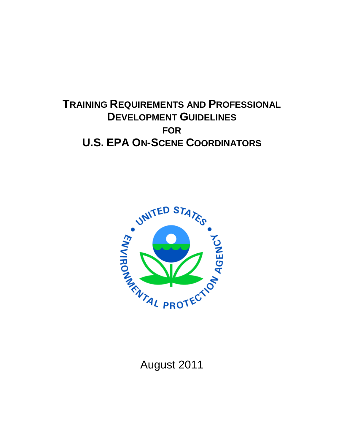## **TRAINING REQUIREMENTS AND PROFESSIONAL DEVELOPMENT GUIDELINES FOR U.S. EPA ON-SCENE COORDINATORS**



August 2011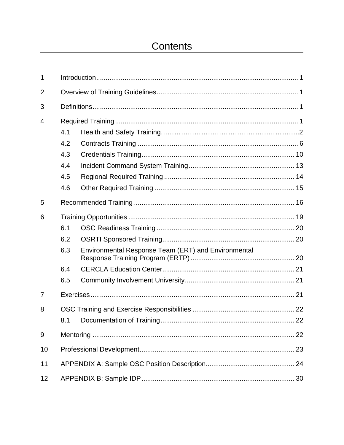## Contents

| 1              |     |                                                     |  |  |
|----------------|-----|-----------------------------------------------------|--|--|
| $\overline{2}$ |     |                                                     |  |  |
| 3              |     |                                                     |  |  |
| 4              |     |                                                     |  |  |
|                | 4.1 |                                                     |  |  |
|                | 4.2 |                                                     |  |  |
|                | 4.3 |                                                     |  |  |
|                | 4.4 |                                                     |  |  |
|                | 4.5 |                                                     |  |  |
|                | 4.6 |                                                     |  |  |
| 5              |     |                                                     |  |  |
| 6              |     |                                                     |  |  |
|                | 6.1 |                                                     |  |  |
|                | 6.2 |                                                     |  |  |
|                | 6.3 | Environmental Response Team (ERT) and Environmental |  |  |
|                | 6.4 |                                                     |  |  |
|                | 6.5 |                                                     |  |  |
| $\overline{7}$ |     |                                                     |  |  |
| 8              |     |                                                     |  |  |
|                | 8.1 |                                                     |  |  |
| 9              |     |                                                     |  |  |
| 10             |     |                                                     |  |  |
| 11             |     |                                                     |  |  |
| 12             |     |                                                     |  |  |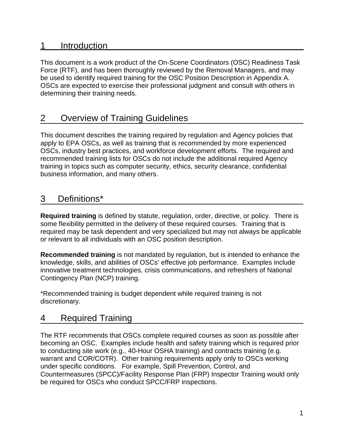## 1 Introduction

This document is a work product of the On-Scene Coordinators (OSC) Readiness Task Force (RTF), and has been thoroughly reviewed by the Removal Managers, and may be used to identify required training for the OSC Position Description in Appendix A. OSCs are expected to exercise their professional judgment and consult with others in determining their training needs.

## 2 Overview of Training Guidelines

This document describes the training required by regulation and Agency policies that apply to EPA OSCs, as well as training that is recommended by more experienced OSCs, industry best practices, and workforce development efforts. The required and recommended training lists for OSCs do not include the additional required Agency training in topics such as computer security, ethics, security clearance, confidential business information, and many others.

## 3 Definitions\*

**Required training** is defined by statute, regulation, order, directive, or policy. There is some flexibility permitted in the delivery of these required courses. Training that is required may be task dependent and very specialized but may not always be applicable or relevant to all individuals with an OSC position description.

**Recommended training** is not mandated by regulation, but is intended to enhance the knowledge, skills, and abilities of OSCs' effective job performance. Examples include innovative treatment technologies, crisis communications, and refreshers of National Contingency Plan (NCP) training.

\*Recommended training is budget dependent while required training is not discretionary.

## 4 Required Training

The RTF recommends that OSCs complete required courses as soon as possible after becoming an OSC. Examples include health and safety training which is required prior to conducting site work (e.g., 40-Hour OSHA training) and contracts training (e.g. warrant and COR/COTR). Other training requirements apply only to OSCs working under specific conditions. For example, Spill Prevention, Control, and Countermeasures (SPCC)/Facility Response Plan (FRP) Inspector Training would only be required for OSCs who conduct SPCC/FRP inspections.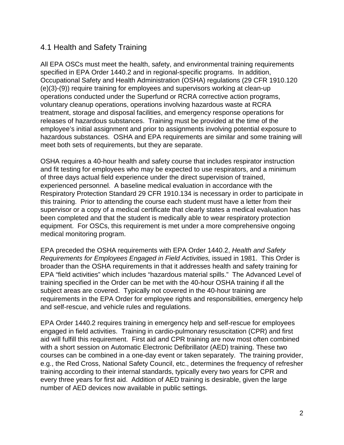### 4.1 Health and Safety Training

All EPA OSCs must meet the health, safety, and environmental training requirements specified in EPA Order 1440.2 and in regional-specific programs. In addition, Occupational Safety and Health Administration (OSHA) regulations (29 CFR 1910.120 (e)(3)-(9)) require training for employees and supervisors working at clean-up operations conducted under the Superfund or RCRA corrective action programs, voluntary cleanup operations, operations involving hazardous waste at RCRA treatment, storage and disposal facilities, and emergency response operations for releases of hazardous substances. Training must be provided at the time of the employee's initial assignment and prior to assignments involving potential exposure to hazardous substances. OSHA and EPA requirements are similar and some training will meet both sets of requirements, but they are separate.

OSHA requires a 40-hour health and safety course that includes respirator instruction and fit testing for employees who may be expected to use respirators, and a minimum of three days actual field experience under the direct supervision of trained, experienced personnel. A baseline medical evaluation in accordance with the Respiratory Protection Standard 29 CFR 1910.134 is necessary in order to participate in this training. Prior to attending the course each student must have a letter from their supervisor or a copy of a medical certificate that clearly states a medical evaluation has been completed and that the student is medically able to wear respiratory protection equipment. For OSCs, this requirement is met under a more comprehensive ongoing medical monitoring program.

EPA preceded the OSHA requirements with EPA Order 1440.2, *Health and Safety Requirements for Employees Engaged in Field Activities,* issued in 1981. This Order is broader than the OSHA requirements in that it addresses health and safety training for EPA "field activities" which includes "hazardous material spills." The Advanced Level of training specified in the Order can be met with the 40-hour OSHA training if all the subject areas are covered. Typically not covered in the 40-hour training are requirements in the EPA Order for employee rights and responsibilities, emergency help and self-rescue, and vehicle rules and regulations.

EPA Order 1440.2 requires training in emergency help and self-rescue for employees engaged in field activities. Training in cardio-pulmonary resuscitation (CPR) and first aid will fulfill this requirement. First aid and CPR training are now most often combined with a short session on Automatic Electronic Defibrillator (AED) training. These two courses can be combined in a one-day event or taken separately. The training provider, e.g., the Red Cross, National Safety Council, etc., determines the frequency of refresher training according to their internal standards, typically every two years for CPR and every three years for first aid. Addition of AED training is desirable, given the large number of AED devices now available in public settings.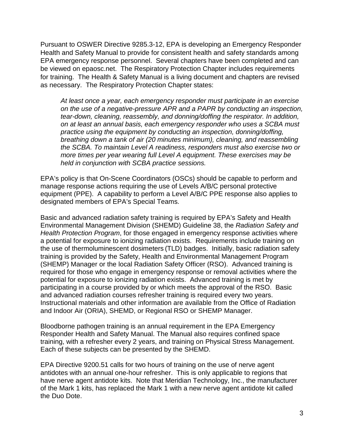Pursuant to OSWER Directive 9285.3-12, EPA is developing an Emergency Responder Health and Safety Manual to provide for consistent health and safety standards among EPA emergency response personnel. Several chapters have been completed and can be viewed on epaosc.net. The Respiratory Protection Chapter includes requirements for training. The Health & Safety Manual is a living document and chapters are revised as necessary. The Respiratory Protection Chapter states:

*At least once a year, each emergency responder must participate in an exercise on the use of a negative-pressure APR and a PAPR by conducting an inspection, tear-down, cleaning, reassembly, and donning/doffing the respirator. In addition, on at least an annual basis, each emergency responder who uses a SCBA must practice using the equipment by conducting an inspection, donning/doffing, breathing down a tank of air (20 minutes minimum), cleaning, and reassembling the SCBA. To maintain Level A readiness, responders must also exercise two or more times per year wearing full Level A equipment. These exercises may be held in conjunction with SCBA practice sessions.* 

EPA's policy is that On-Scene Coordinators (OSCs) should be capable to perform and manage response actions requiring the use of Levels A/B/C personal protective equipment (PPE). A capability to perform a Level A/B/C PPE response also applies to designated members of EPA's Special Teams.

Basic and advanced radiation safety training is required by EPA's Safety and Health Environmental Management Division (SHEMD) Guideline 38, the *Radiation Safety and Health Protection Program*, for those engaged in emergency response activities where a potential for exposure to ionizing radiation exists. Requirements include training on the use of thermoluminescent dosimeters (TLD) badges. Initially, basic radiation safety training is provided by the Safety, Health and Environmental Management Program (SHEMP) Manager or the local Radiation Safety Officer (RSO). Advanced training is required for those who engage in emergency response or removal activities where the potential for exposure to ionizing radiation exists. Advanced training is met by participating in a course provided by or which meets the approval of the RSO. Basic and advanced radiation courses refresher training is required every two years. Instructional materials and other information are available from the Office of Radiation and Indoor Air (ORIA), SHEMD, or Regional RSO or SHEMP Manager.

Bloodborne pathogen training is an annual requirement in the EPA Emergency Responder Health and Safety Manual. The Manual also requires confined space training, with a refresher every 2 years, and training on Physical Stress Management. Each of these subjects can be presented by the SHEMD.

EPA Directive 9200.51 calls for two hours of training on the use of nerve agent antidotes with an annual one-hour refresher. This is only applicable to regions that have nerve agent antidote kits. Note that Meridian Technology, Inc., the manufacturer of the Mark 1 kits, has replaced the Mark 1 with a new nerve agent antidote kit called the Duo Dote.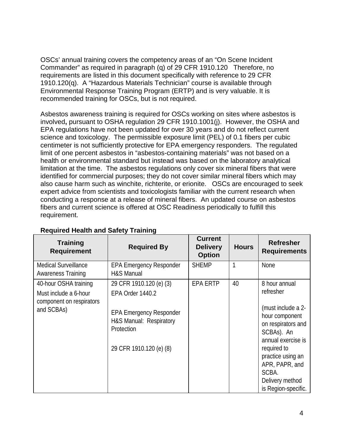OSCs' annual training covers the competency areas of an "On Scene Incident Commander" as required in paragraph (q) of 29 CFR 1910.120 Therefore, no requirements are listed in this document specifically with reference to 29 CFR 1910.120(q). A "Hazardous Materials Technician" course is available through Environmental Response Training Program (ERTP) and is very valuable. It is recommended training for OSCs, but is not required.

Asbestos awareness training is required for OSCs working on sites where asbestos is involved**,** pursuant to OSHA regulation 29 CFR 1910.1001(j). However, the OSHA and EPA regulations have not been updated for over 30 years and do not reflect current science and toxicology. The permissible exposure limit (PEL) of 0.1 fibers per cubic centimeter is not sufficiently protective for EPA emergency responders. The regulated limit of one percent asbestos in "asbestos-containing materials" was not based on a health or environmental standard but instead was based on the laboratory analytical limitation at the time. The asbestos regulations only cover six mineral fibers that were identified for commercial purposes; they do not cover similar mineral fibers which may also cause harm such as winchite, richterite, or erionite. OSCs are encouraged to seek expert advice from scientists and toxicologists familiar with the current research when conducting a response at a release of mineral fibers. An updated course on asbestos fibers and current science is offered at OSC Readiness periodically to fulfill this requirement.

| <b>Training</b><br><b>Requirement</b>                                                    | <b>Required By</b>                                                                                                                                | <b>Current</b><br><b>Delivery</b><br><b>Option</b> | <b>Hours</b> | <b>Refresher</b><br><b>Requirements</b>                                                                                                                                                                                               |
|------------------------------------------------------------------------------------------|---------------------------------------------------------------------------------------------------------------------------------------------------|----------------------------------------------------|--------------|---------------------------------------------------------------------------------------------------------------------------------------------------------------------------------------------------------------------------------------|
| <b>Medical Surveillance</b><br><b>Awareness Training</b>                                 | <b>EPA Emergency Responder</b><br>H&S Manual                                                                                                      | <b>SHEMP</b>                                       |              | None                                                                                                                                                                                                                                  |
| 40-hour OSHA training<br>Must include a 6-hour<br>component on respirators<br>and SCBAs) | 29 CFR 1910.120 (e) (3)<br>EPA Order 1440.2<br><b>EPA Emergency Responder</b><br>H&S Manual: Respiratory<br>Protection<br>29 CFR 1910.120 (e) (8) | <b>EPA ERTP</b>                                    | 40           | 8 hour annual<br>refresher<br>(must include a 2-<br>hour component<br>on respirators and<br>SCBAs). An<br>annual exercise is<br>required to<br>practice using an<br>APR, PAPR, and<br>SCBA.<br>Delivery method<br>is Region-specific. |

### **Required Health and Safety Training**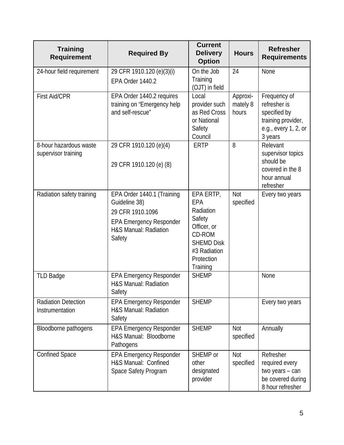| <b>Training</b><br><b>Requirement</b>         | <b>Required By</b>                                                                                                                   | <b>Current</b><br><b>Delivery</b><br><b>Option</b>                                                                              | <b>Hours</b>                  | <b>Refresher</b><br><b>Requirements</b>                                                               |
|-----------------------------------------------|--------------------------------------------------------------------------------------------------------------------------------------|---------------------------------------------------------------------------------------------------------------------------------|-------------------------------|-------------------------------------------------------------------------------------------------------|
| 24-hour field requirement                     | 29 CFR 1910.120 (e)(3)(i)<br>EPA Order 1440.2                                                                                        | On the Job<br>Training<br>(OJT) in field                                                                                        | 24                            | None                                                                                                  |
| <b>First Aid/CPR</b>                          | EPA Order 1440.2 requires<br>training on "Emergency help<br>and self-rescue"                                                         | Local<br>provider such<br>as Red Cross<br>or National<br>Safety<br>Council                                                      | Approxi-<br>mately 8<br>hours | Frequency of<br>refresher is<br>specified by<br>training provider,<br>e.g., every 1, 2, or<br>3 years |
| 8-hour hazardous waste<br>supervisor training | 29 CFR 1910.120 (e)(4)<br>29 CFR 1910.120 (e) (8)                                                                                    | <b>ERTP</b>                                                                                                                     | 8                             | Relevant<br>supervisor topics<br>should be<br>covered in the 8<br>hour annual<br>refresher            |
| Radiation safety training                     | EPA Order 1440.1 (Training<br>Guideline 38)<br>29 CFR 1910.1096<br><b>EPA Emergency Responder</b><br>H&S Manual: Radiation<br>Safety | EPA ERTP,<br>EPA<br>Radiation<br>Safety<br>Officer, or<br>CD-ROM<br><b>SHEMD Disk</b><br>#3 Radiation<br>Protection<br>Training | <b>Not</b><br>specified       | Every two years                                                                                       |
| <b>TLD Badge</b>                              | <b>EPA Emergency Responder</b><br>H&S Manual: Radiation<br>Safety                                                                    | <b>SHEMP</b>                                                                                                                    |                               | None                                                                                                  |
| <b>Radiation Detection</b><br>Instrumentation | <b>EPA Emergency Responder</b><br>H&S Manual: Radiation<br>Safety                                                                    | <b>SHEMP</b>                                                                                                                    |                               | Every two years                                                                                       |
| Bloodborne pathogens                          | <b>EPA Emergency Responder</b><br>H&S Manual: Bloodborne<br>Pathogens                                                                | <b>SHEMP</b>                                                                                                                    | Not<br>specified              | Annually                                                                                              |
| <b>Confined Space</b>                         | <b>EPA Emergency Responder</b><br>H&S Manual: Confined<br>Space Safety Program                                                       | SHEMP or<br>other<br>designated<br>provider                                                                                     | <b>Not</b><br>specified       | Refresher<br>required every<br>two years - can<br>be covered during<br>8 hour refresher               |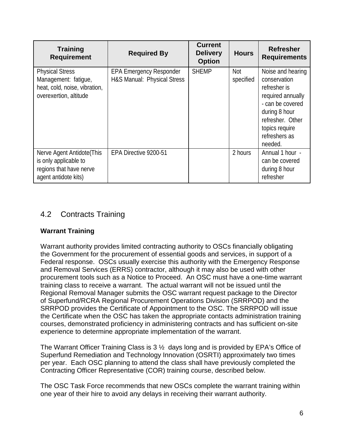| <b>Training</b><br><b>Requirement</b>                                                                     | <b>Required By</b>                                            | <b>Current</b><br><b>Delivery</b><br><b>Option</b> | <b>Hours</b>     | <b>Refresher</b><br><b>Requirements</b>                                                                                                                                       |
|-----------------------------------------------------------------------------------------------------------|---------------------------------------------------------------|----------------------------------------------------|------------------|-------------------------------------------------------------------------------------------------------------------------------------------------------------------------------|
| <b>Physical Stress</b><br>Management: fatigue,<br>heat, cold, noise, vibration,<br>overexertion, altitude | <b>EPA Emergency Responder</b><br>H&S Manual: Physical Stress | <b>SHEMP</b>                                       | Not<br>specified | Noise and hearing<br>conservation<br>refresher is<br>required annually<br>- can be covered<br>during 8 hour<br>refresher. Other<br>topics require<br>refreshers as<br>needed. |
| Nerve Agent Antidote (This<br>is only applicable to<br>regions that have nerve<br>agent antidote kits)    | EPA Directive 9200-51                                         |                                                    | 2 hours          | Annual 1 hour -<br>can be covered<br>during 8 hour<br>refresher                                                                                                               |

## 4.2 Contracts Training

### **Warrant Training**

Warrant authority provides limited contracting authority to OSCs financially obligating the Government for the procurement of essential goods and services, in support of a Federal response. OSCs usually exercise this authority with the Emergency Response and Removal Services (ERRS) contractor, although it may also be used with other procurement tools such as a Notice to Proceed. An OSC must have a one-time warrant training class to receive a warrant. The actual warrant will not be issued until the Regional Removal Manager submits the OSC warrant request package to the Director of Superfund/RCRA Regional Procurement Operations Division (SRRPOD) and the SRRPOD provides the Certificate of Appointment to the OSC. The SRRPOD will issue the Certificate when the OSC has taken the appropriate contacts administration training courses, demonstrated proficiency in administering contracts and has sufficient on-site experience to determine appropriate implementation of the warrant.

The Warrant Officer Training Class is  $3\frac{1}{2}$  days long and is provided by EPA's Office of Superfund Remediation and Technology Innovation (OSRTI) approximately two times per year. Each OSC planning to attend the class shall have previously completed the Contracting Officer Representative (COR) training course, described below.

The OSC Task Force recommends that new OSCs complete the warrant training within one year of their hire to avoid any delays in receiving their warrant authority.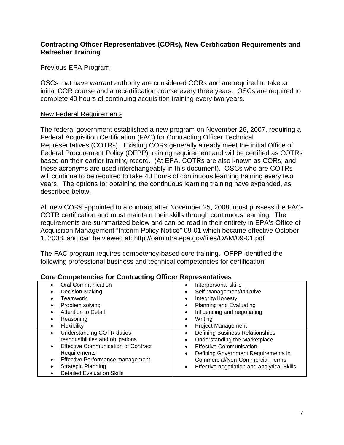### **Contracting Officer Representatives (CORs), New Certification Requirements and Refresher Training**

### Previous EPA Program

OSCs that have warrant authority are considered CORs and are required to take an initial COR course and a recertification course every three years. OSCs are required to complete 40 hours of continuing acquisition training every two years.

### New Federal Requirements

The federal government established a new program on November 26, 2007, requiring a Federal Acquisition Certification (FAC) for Contracting Officer Technical Representatives (COTRs). Existing CORs generally already meet the initial Office of Federal Procurement Policy (OFPP) training requirement and will be certified as COTRs based on their earlier training record. (At EPA, COTRs are also known as CORs, and these acronyms are used interchangeably in this document). OSCs who are COTRs will continue to be required to take 40 hours of continuous learning training every two years. The options for obtaining the continuous learning training have expanded, as described below.

All new CORs appointed to a contract after November 25, 2008, must possess the FAC-COTR certification and must maintain their skills through continuous learning. The requirements are summarized below and can be read in their entirety in EPA's Office of Acquisition Management "Interim Policy Notice" 09-01 which became effective October 1, 2008, and can be viewed at: http://oamintra.epa.gov/files/OAM/09-01.pdf

The FAC program requires competency-based core training. OFPP identified the following professional business and technical competencies for certification:

| Oral Communication                                      | Interpersonal skills<br>$\bullet$                   |
|---------------------------------------------------------|-----------------------------------------------------|
| Decision-Making                                         | Self Management/Initiative                          |
| Teamwork                                                | Integrity/Honesty                                   |
| Problem solving                                         | Planning and Evaluating                             |
| Attention to Detail                                     | Influencing and negotiating                         |
| Reasoning                                               | Writing<br>$\bullet$                                |
| Flexibility<br>$\bullet$                                | <b>Project Management</b>                           |
| Understanding COTR duties,<br>$\bullet$                 | <b>Defining Business Relationships</b><br>$\bullet$ |
| responsibilities and obligations                        | Understanding the Marketplace                       |
| <b>Effective Communication of Contract</b><br>$\bullet$ | <b>Effective Communication</b><br>$\bullet$         |
| Requirements                                            | Defining Government Requirements in                 |
| Effective Performance management                        | <b>Commercial/Non-Commercial Terms</b>              |
| Strategic Planning                                      | Effective negotiation and analytical Skills         |
| <b>Detailed Evaluation Skills</b>                       |                                                     |

### **Core Competencies for Contracting Officer Representatives**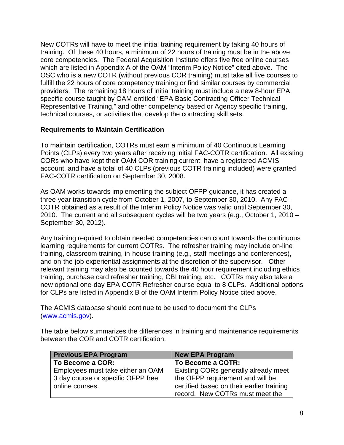New COTRs will have to meet the initial training requirement by taking 40 hours of training. Of these 40 hours, a minimum of 22 hours of training must be in the above core competencies. The Federal Acquisition Institute offers five free online courses which are listed in Appendix A of the OAM "Interim Policy Notice" cited above. The OSC who is a new COTR (without previous COR training) must take all five courses to fulfill the 22 hours of core competency training or find similar courses by commercial providers. The remaining 18 hours of initial training must include a new 8-hour EPA specific course taught by OAM entitled "EPA Basic Contracting Officer Technical Representative Training," and other competency based or Agency specific training, technical courses, or activities that develop the contracting skill sets.

### **Requirements to Maintain Certification**

To maintain certification, COTRs must earn a minimum of 40 Continuous Learning Points (CLPs) every two years after receiving initial FAC-COTR certification. All existing CORs who have kept their OAM COR training current, have a registered ACMIS account, and have a total of 40 CLPs (previous COTR training included) were granted FAC-COTR certification on September 30, 2008.

As OAM works towards implementing the subject OFPP guidance, it has created a three year transition cycle from October 1, 2007, to September 30, 2010. Any FAC-COTR obtained as a result of the Interim Policy Notice was valid until September 30, 2010. The current and all subsequent cycles will be two years (e.g., October 1, 2010 – September 30, 2012).

Any training required to obtain needed competencies can count towards the continuous learning requirements for current COTRs. The refresher training may include on-line training, classroom training, in-house training (e.g., staff meetings and conferences), and on-the-job experiential assignments at the discretion of the supervisor. Other relevant training may also be counted towards the 40 hour requirement including ethics training, purchase card refresher training, CBI training, etc. COTRs may also take a new optional one-day EPA COTR Refresher course equal to 8 CLPs. Additional options for CLPs are listed in Appendix B of the OAM Interim Policy Notice cited above.

The ACMIS database should continue to be used to document the CLPs [\(www.acmis.gov\)](http://www.acmis.gov/).

The table below summarizes the differences in training and maintenance requirements between the COR and COTR certification.

| <b>Previous EPA Program</b>        | <b>New EPA Program</b>                    |
|------------------------------------|-------------------------------------------|
| To Become a COR:                   | To Become a COTR:                         |
| Employees must take either an OAM  | Existing CORs generally already meet      |
| 3 day course or specific OFPP free | the OFPP requirement and will be          |
| online courses.                    | certified based on their earlier training |
|                                    | record. New COTRs must meet the           |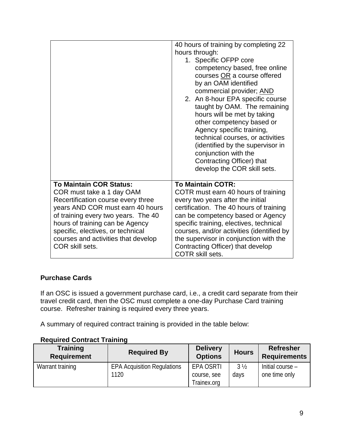|                                                                                                                                                                                                                                                                                                                | 40 hours of training by completing 22<br>hours through:<br>1. Specific OFPP core<br>competency based, free online<br>courses OR a course offered<br>by an OAM identified<br>commercial provider; AND<br>2. An 8-hour EPA specific course<br>taught by OAM. The remaining<br>hours will be met by taking<br>other competency based or<br>Agency specific training,<br>technical courses, or activities<br>(identified by the supervisor in<br>conjunction with the<br>Contracting Officer) that<br>develop the COR skill sets. |
|----------------------------------------------------------------------------------------------------------------------------------------------------------------------------------------------------------------------------------------------------------------------------------------------------------------|-------------------------------------------------------------------------------------------------------------------------------------------------------------------------------------------------------------------------------------------------------------------------------------------------------------------------------------------------------------------------------------------------------------------------------------------------------------------------------------------------------------------------------|
| <b>To Maintain COR Status:</b><br>COR must take a 1 day OAM<br>Recertification course every three<br>years AND COR must earn 40 hours<br>of training every two years. The 40<br>hours of training can be Agency<br>specific, electives, or technical<br>courses and activities that develop<br>COR skill sets. | <b>To Maintain COTR:</b><br>COTR must earn 40 hours of training<br>every two years after the initial<br>certification. The 40 hours of training<br>can be competency based or Agency<br>specific training, electives, technical<br>courses, and/or activities (identified by<br>the supervisor in conjunction with the<br>Contracting Officer) that develop<br><b>COTR skill sets.</b>                                                                                                                                        |

### **Purchase Cards**

If an OSC is issued a government purchase card, i.e., a credit card separate from their travel credit card, then the OSC must complete a one-day Purchase Card training course. Refresher training is required every three years.

A summary of required contract training is provided in the table below:

### **Required Contract Training**

| <b>Training</b><br><b>Requirement</b> | <b>Required By</b>                 | <b>Delivery</b><br><b>Options</b> | <b>Hours</b>   | <b>Refresher</b><br><b>Requirements</b> |
|---------------------------------------|------------------------------------|-----------------------------------|----------------|-----------------------------------------|
| Warrant training                      | <b>EPA Acquisition Regulations</b> | EPA OSRTI                         | $3\frac{1}{2}$ | Initial course -                        |
|                                       | 1120                               | course, see                       | days           | one time only                           |
|                                       |                                    | Trainex.org                       |                |                                         |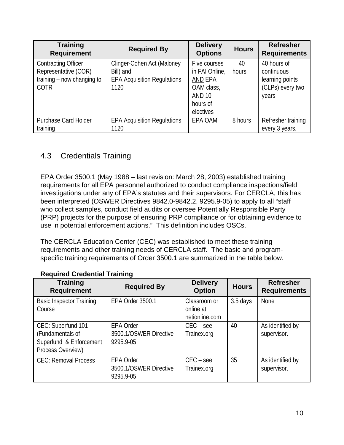| <b>Training</b><br><b>Required By</b><br><b>Requirement</b>                                     |                                                                                       | <b>Delivery</b><br><b>Options</b>                                                                 | <b>Hours</b> | <b>Refresher</b><br><b>Requirements</b>                                   |
|-------------------------------------------------------------------------------------------------|---------------------------------------------------------------------------------------|---------------------------------------------------------------------------------------------------|--------------|---------------------------------------------------------------------------|
| <b>Contracting Officer</b><br>Representative (COR)<br>training – now changing to<br><b>COTR</b> | Clinger-Cohen Act (Maloney<br>Bill) and<br><b>EPA Acquisition Regulations</b><br>1120 | Five courses<br>in FAI Online,<br>AND EPA<br>OAM class,<br><b>AND 10</b><br>hours of<br>electives | 40<br>hours  | 40 hours of<br>continuous<br>learning points<br>(CLPs) every two<br>years |
| <b>Purchase Card Holder</b><br>training                                                         | <b>EPA Acquisition Regulations</b><br>1120                                            | EPA OAM                                                                                           | 8 hours      | Refresher training<br>every 3 years.                                      |

## 4.3 Credentials Training

EPA Order 3500.1 (May 1988 – last revision: March 28, 2003) established training requirements for all EPA personnel authorized to conduct compliance inspections/field investigations under any of EPA's statutes and their supervisors. For CERCLA, this has been interpreted (OSWER Directives 9842.0-9842.2, 9295.9-05) to apply to all "staff who collect samples, conduct field audits or oversee Potentially Responsible Party (PRP) projects for the purpose of ensuring PRP compliance or for obtaining evidence to use in potential enforcement actions." This definition includes OSCs.

The CERCLA Education Center (CEC) was established to meet these training requirements and other training needs of CERCLA staff. The basic and programspecific training requirements of Order 3500.1 are summarized in the table below.

| <b>Training</b><br><b>Requirement</b>                                                  | <b>Required By</b>                                      | <b>Delivery</b><br><b>Option</b>            | <b>Hours</b> | <b>Refresher</b><br><b>Requirements</b> |
|----------------------------------------------------------------------------------------|---------------------------------------------------------|---------------------------------------------|--------------|-----------------------------------------|
| <b>Basic Inspector Training</b><br>Course                                              | EPA Order 3500.1                                        | Classroom or<br>online at<br>netionline.com | 3.5 days     | <b>None</b>                             |
| CEC: Superfund 101<br>(Fundamentals of<br>Superfund & Enforcement<br>Process Overview) | <b>EPA Order</b><br>3500.1/OSWER Directive<br>9295.9-05 | $CEC - see$<br>Trainex.org                  | 40           | As identified by<br>supervisor.         |
| <b>CEC: Removal Process</b>                                                            | <b>EPA Order</b><br>3500.1/OSWER Directive<br>9295.9-05 | $CEC - see$<br>Trainex.org                  | 35           | As identified by<br>supervisor.         |

### **Required Credential Training**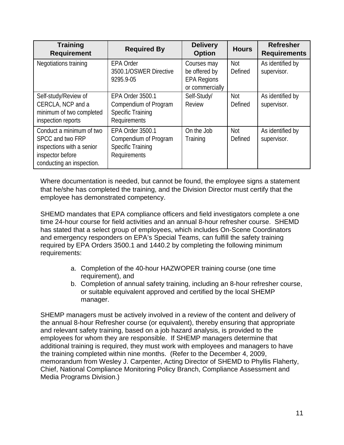| <b>Training</b><br><b>Requirement</b>                                                                                      | <b>Required By</b>                                                                           | <b>Delivery</b><br><b>Option</b>                                      | <b>Hours</b>          | <b>Refresher</b><br><b>Requirements</b> |
|----------------------------------------------------------------------------------------------------------------------------|----------------------------------------------------------------------------------------------|-----------------------------------------------------------------------|-----------------------|-----------------------------------------|
| Negotiations training                                                                                                      | <b>EPA Order</b><br>3500.1/OSWER Directive<br>9295.9-05                                      | Courses may<br>be offered by<br><b>EPA Regions</b><br>or commercially | Not<br>Defined        | As identified by<br>supervisor.         |
| Self-study/Review of<br>CERCLA, NCP and a<br>minimum of two completed<br>inspection reports                                | EPA Order 3500.1<br>Compendium of Program<br><b>Specific Training</b><br>Requirements        | Self-Study/<br><b>Review</b>                                          | <b>Not</b><br>Defined | As identified by<br>supervisor.         |
| Conduct a minimum of two<br>SPCC and two FRP<br>inspections with a senior<br>inspector before<br>conducting an inspection. | <b>EPA Order 3500.1</b><br>Compendium of Program<br><b>Specific Training</b><br>Requirements | On the Job<br>Training                                                | <b>Not</b><br>Defined | As identified by<br>supervisor.         |

Where documentation is needed, but cannot be found, the employee signs a statement that he/she has completed the training, and the Division Director must certify that the employee has demonstrated competency.

SHEMD mandates that EPA compliance officers and field investigators complete a one time 24-hour course for field activities and an annual 8-hour refresher course. SHEMD has stated that a select group of employees, which includes On-Scene Coordinators and emergency responders on EPA's Special Teams, can fulfill the safety training required by EPA Orders 3500.1 and 1440.2 by completing the following minimum requirements:

- a. Completion of the 40-hour HAZWOPER training course (one time requirement), and
- b. Completion of annual safety training, including an 8-hour refresher course, or suitable equivalent approved and certified by the local SHEMP manager.

SHEMP managers must be actively involved in a review of the content and delivery of the annual 8-hour Refresher course (or equivalent), thereby ensuring that appropriate and relevant safety training, based on a job hazard analysis, is provided to the employees for whom they are responsible. If SHEMP managers determine that additional training is required, they must work with employees and managers to have the training completed within nine months. (Refer to the December 4, 2009, memorandum from Wesley J. Carpenter, Acting Director of SHEMD to Phyllis Flaherty, Chief, National Compliance Monitoring Policy Branch, Compliance Assessment and Media Programs Division.)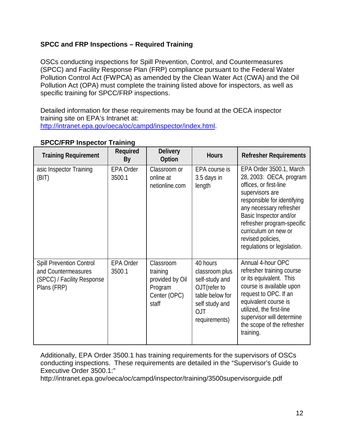### **SPCC and FRP Inspections – Required Training**

OSCs conducting inspections for Spill Prevention, Control, and Countermeasures (SPCC) and Facility Response Plan (FRP) compliance pursuant to the Federal Water Pollution Control Act (FWPCA) as amended by the Clean Water Act (CWA) and the Oil Pollution Act (OPA) must complete the training listed above for inspectors, as well as specific training for SPCC/FRP inspections.

Detailed information for these requirements may be found at the OECA inspector training site on EPA's Intranet at: [http://intranet.epa.gov/oeca/oc/campd/inspector/index.html.](http://intranet.epa.gov/oeca/oc/campd/inspector/index.html)

| <b>Training Requirement</b>                                                                         | Required<br>By      | <b>Delivery</b><br>Option                                                    | <b>Hours</b>                                                                                                                     | <b>Refresher Requirements</b>                                                                                                                                                                                                                                                                 |
|-----------------------------------------------------------------------------------------------------|---------------------|------------------------------------------------------------------------------|----------------------------------------------------------------------------------------------------------------------------------|-----------------------------------------------------------------------------------------------------------------------------------------------------------------------------------------------------------------------------------------------------------------------------------------------|
| asic Inspector Training<br>(BIT)                                                                    | EPA Order<br>3500.1 | Classroom or<br>online at<br>netionline.com                                  | EPA course is<br>3.5 days in<br>length                                                                                           | EPA Order 3500.1, March<br>28, 2003: OECA, program<br>offices, or first-line<br>supervisors are<br>responsible for identifying<br>any necessary refresher<br>Basic Inspector and/or<br>refresher program-specific<br>curriculum on new or<br>revised policies,<br>regulations or legislation. |
| <b>Spill Prevention Control</b><br>and Countermeasures<br>(SPCC) / Facility Response<br>Plans (FRP) | EPA Order<br>3500.1 | Classroom<br>training<br>provided by Oil<br>Program<br>Center (OPC)<br>staff | 40 hours<br>classroom plus<br>self-study and<br>OJT(refer to<br>table below for<br>self study and<br><b>OJT</b><br>requirements) | Annual 4-hour OPC<br>refresher training course<br>or its equivalent. This<br>course is available upon<br>request to OPC. If an<br>equivalent course is<br>utilized, the first-line<br>supervisor will determine<br>the scope of the refresher<br>training.                                    |

### **SPCC/FRP Inspector Training**

Additionally, EPA Order 3500.1 has training requirements for the supervisors of OSCs conducting inspections. These requirements are detailed in the "Supervisor's Guide to Executive Order 3500.1:"

http://intranet.epa.gov/oeca/oc/campd/inspector/training/3500supervisorguide.pdf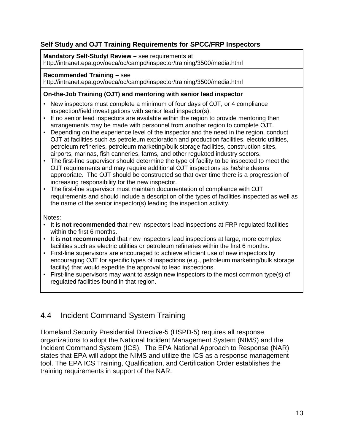### **Self Study and OJT Training Requirements for SPCC/FRP Inspectors**

### **Mandatory Self-Study/ Review –** see requirements at

http://intranet.epa.gov/oeca/oc/campd/inspector/training/3500/media.html

### **Recommended Training –** see

http://intranet.epa.gov/oeca/oc/campd/inspector/training/3500/media.html

### **On-the-Job Training (OJT) and mentoring with senior lead inspector**

- New inspectors must complete a minimum of four days of OJT, or 4 compliance inspection/field investigations with senior lead inspector(s).
- If no senior lead inspectors are available within the region to provide mentoring then arrangements may be made with personnel from another region to complete OJT.
- Depending on the experience level of the inspector and the need in the region, conduct OJT at facilities such as petroleum exploration and production facilities, electric utilities, petroleum refineries, petroleum marketing/bulk storage facilities, construction sites, airports, marinas, fish canneries, farms, and other regulated industry sectors.
- The first-line supervisor should determine the type of facility to be inspected to meet the OJT requirements and may require additional OJT inspections as he/she deems appropriate. The OJT should be constructed so that over time there is a progression of increasing responsibility for the new inspector.
- The first-line supervisor must maintain documentation of compliance with OJT requirements and should include a description of the types of facilities inspected as well as the name of the senior inspector(s) leading the inspection activity.

Notes:

- It is **not recommended** that new inspectors lead inspections at FRP regulated facilities within the first 6 months.
- It is **not recommended** that new inspectors lead inspections at large, more complex facilities such as electric utilities or petroleum refineries within the first 6 months.
- First-line supervisors are encouraged to achieve efficient use of new inspectors by encouraging OJT for specific types of inspections (e.g., petroleum marketing/bulk storage facility) that would expedite the approval to lead inspections.
- First-line supervisors may want to assign new inspectors to the most common type(s) of regulated facilities found in that region.

## 4.4 Incident Command System Training

Homeland Security Presidential Directive-5 (HSPD-5) requires all response organizations to adopt the National Incident Management System (NIMS) and the Incident Command System (ICS). The EPA National Approach to Response (NAR) states that EPA will adopt the NIMS and utilize the ICS as a response management tool. The EPA ICS Training, Qualification, and Certification Order establishes the training requirements in support of the NAR.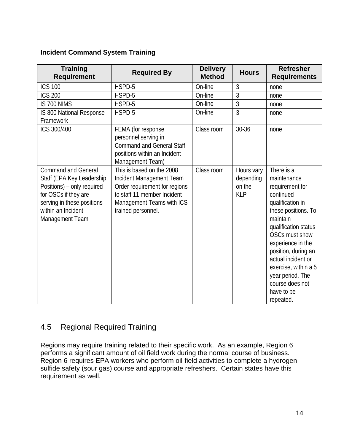### **Incident Command System Training**

| <b>Training</b><br><b>Requirement</b>                                                                                                                                                | <b>Required By</b>                                                                                                                                                       | <b>Delivery</b><br><b>Method</b> | <b>Hours</b>                                    | <b>Refresher</b><br><b>Requirements</b>                                                                                                                                                                                                                                                                                |
|--------------------------------------------------------------------------------------------------------------------------------------------------------------------------------------|--------------------------------------------------------------------------------------------------------------------------------------------------------------------------|----------------------------------|-------------------------------------------------|------------------------------------------------------------------------------------------------------------------------------------------------------------------------------------------------------------------------------------------------------------------------------------------------------------------------|
| <b>ICS 100</b>                                                                                                                                                                       | HSPD-5                                                                                                                                                                   | On-line                          | 3                                               | none                                                                                                                                                                                                                                                                                                                   |
| <b>ICS 200</b>                                                                                                                                                                       | HSPD-5                                                                                                                                                                   | On-line                          | 3                                               | none                                                                                                                                                                                                                                                                                                                   |
| IS 700 NIMS                                                                                                                                                                          | HSPD-5                                                                                                                                                                   | On-line                          | 3                                               | none                                                                                                                                                                                                                                                                                                                   |
| IS 800 National Response<br>Framework                                                                                                                                                | HSPD-5                                                                                                                                                                   | On-line                          | 3                                               | none                                                                                                                                                                                                                                                                                                                   |
| ICS 300/400                                                                                                                                                                          | FEMA (for response<br>personnel serving in<br><b>Command and General Staff</b><br>positions within an Incident<br>Management Team)                                       | Class room                       | 30-36                                           | none                                                                                                                                                                                                                                                                                                                   |
| <b>Command and General</b><br>Staff (EPA Key Leadership<br>Positions) - only required<br>for OSCs if they are<br>serving in these positions<br>within an Incident<br>Management Team | This is based on the 2008<br>Incident Management Team<br>Order requirement for regions<br>to staff 11 member Incident<br>Management Teams with ICS<br>trained personnel. | Class room                       | Hours vary<br>depending<br>on the<br><b>KLP</b> | There is a<br>maintenance<br>requirement for<br>continued<br>qualification in<br>these positions. To<br>maintain<br>qualification status<br>OSCs must show<br>experience in the<br>position, during an<br>actual incident or<br>exercise, within a 5<br>year period. The<br>course does not<br>have to be<br>repeated. |

## 4.5 Regional Required Training

Regions may require training related to their specific work. As an example, Region 6 performs a significant amount of oil field work during the normal course of business. Region 6 requires EPA workers who perform oil-field activities to complete a hydrogen sulfide safety (sour gas) course and appropriate refreshers. Certain states have this requirement as well.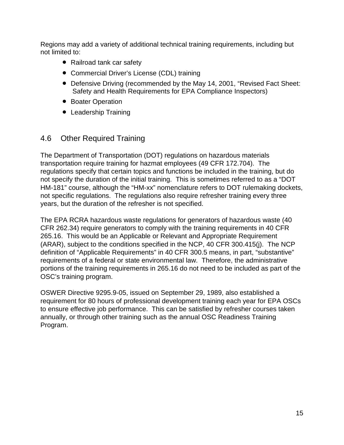Regions may add a variety of additional technical training requirements, including but not limited to:

- Railroad tank car safety
- Commercial Driver's License (CDL) training
- Defensive Driving (recommended by the May 14, 2001, "Revised Fact Sheet: Safety and Health Requirements for EPA Compliance Inspectors)
- Boater Operation
- Leadership Training

## 4.6 Other Required Training

The Department of Transportation (DOT) regulations on hazardous materials transportation require training for hazmat employees (49 CFR 172.704). The regulations specify that certain topics and functions be included in the training, but do not specify the duration of the initial training. This is sometimes referred to as a "DOT HM-181" course, although the "HM-xx" nomenclature refers to DOT rulemaking dockets, not specific regulations. The regulations also require refresher training every three years, but the duration of the refresher is not specified.

The EPA RCRA hazardous waste regulations for generators of hazardous waste (40 CFR 262.34) require generators to comply with the training requirements in 40 CFR 265.16. This would be an Applicable or Relevant and Appropriate Requirement (ARAR), subject to the conditions specified in the NCP, 40 CFR 300.415(j). The NCP definition of "Applicable Requirements" in 40 CFR 300.5 means, in part, "substantive" requirements of a federal or state environmental law. Therefore, the administrative portions of the training requirements in 265.16 do not need to be included as part of the OSC's training program.

OSWER Directive 9295.9-05, issued on September 29, 1989, also established a requirement for 80 hours of professional development training each year for EPA OSCs to ensure effective job performance. This can be satisfied by refresher courses taken annually, or through other training such as the annual OSC Readiness Training Program.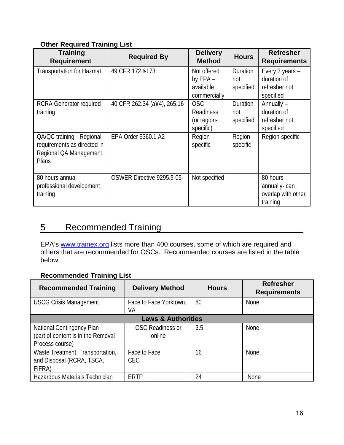### **Other Required Training List**

| <b>Training</b><br><b>Requirement</b>                                                       | <b>Required By</b>           | <b>Delivery</b><br><b>Method</b>                     | <b>Hours</b>                 | <b>Refresher</b><br><b>Requirements</b>                      |
|---------------------------------------------------------------------------------------------|------------------------------|------------------------------------------------------|------------------------------|--------------------------------------------------------------|
| <b>Transportation for Hazmat</b>                                                            | 49 CFR 172 & 173             | Not offered<br>by EPA -<br>available<br>commercially | Duration<br>not<br>specified | Every 3 years -<br>duration of<br>refresher not<br>specified |
| <b>RCRA Generator required</b><br>training                                                  | 40 CFR 262.34 (a)(4), 265.16 | <b>OSC</b><br>Readiness<br>(or region-<br>specific)  | Duration<br>not<br>specified | Annually -<br>duration of<br>refresher not<br>specified      |
| QA/QC training - Regional<br>requirements as directed in<br>Regional QA Management<br>Plans | EPA Order 5360.1 A2          | Region-<br>specific                                  | Region-<br>specific          | Region-specific                                              |
| 80 hours annual<br>professional development<br>training                                     | OSWER Directive 9295.9-05    | Not specified                                        |                              | 80 hours<br>annually-can<br>overlap with other<br>training   |

## 5 Recommended Training

EPA's [www.trainex.org](http://www.trainex.org/) lists more than 400 courses, some of which are required and others that are recommended for OSCs. Recommended courses are listed in the table below.

### **Recommended Training List**

| <b>Recommended Training</b>                                                        | <b>Delivery Method</b>            | <b>Hours</b> | <b>Refresher</b><br><b>Requirements</b> |  |
|------------------------------------------------------------------------------------|-----------------------------------|--------------|-----------------------------------------|--|
| <b>USCG Crisis Management</b>                                                      | Face to Face Yorktown,<br>VA      | 80           | <b>None</b>                             |  |
| <b>Laws &amp; Authorities</b>                                                      |                                   |              |                                         |  |
| National Contingency Plan<br>(part of content is in the Removal<br>Process course) | <b>OSC Readiness or</b><br>online | 3.5          | <b>None</b>                             |  |
| Waste Treatment, Transportation,<br>and Disposal (RCRA, TSCA,<br>FIFRA)            | Face to Face<br><b>CEC</b>        | 16           | <b>None</b>                             |  |
| Hazardous Materials Technician                                                     | <b>ERTP</b>                       | 24           | <b>None</b>                             |  |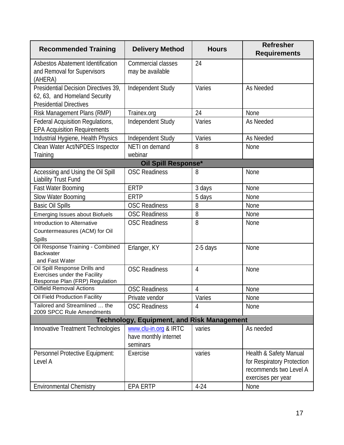| <b>Recommended Training</b>                                                                             | <b>Delivery Method</b>                                     | <b>Hours</b>   | <b>Refresher</b><br><b>Requirements</b>                                                              |  |
|---------------------------------------------------------------------------------------------------------|------------------------------------------------------------|----------------|------------------------------------------------------------------------------------------------------|--|
| Asbestos Abatement Identification<br>and Removal for Supervisors<br>(AHERA)                             | <b>Commercial classes</b><br>may be available              | 24             |                                                                                                      |  |
| Presidential Decision Directives 39.<br>62, 63, and Homeland Security<br><b>Presidential Directives</b> | Independent Study                                          | Varies         | As Needed                                                                                            |  |
| Risk Management Plans (RMP)                                                                             | Trainex.org                                                | 24             | None                                                                                                 |  |
| <b>Federal Acquisition Regulations,</b><br><b>EPA Acquisition Requirements</b>                          | Independent Study                                          | Varies         | As Needed                                                                                            |  |
| Industrial Hygiene, Health Physics                                                                      | Independent Study                                          | Varies         | As Needed                                                                                            |  |
| Clean Water Act/NPDES Inspector<br>Training                                                             | NETI on demand<br>webinar                                  | 8              | None                                                                                                 |  |
|                                                                                                         | <b>Oil Spill Response*</b>                                 |                |                                                                                                      |  |
| Accessing and Using the Oil Spill<br><b>Liability Trust Fund</b>                                        | <b>OSC Readiness</b>                                       | 8              | None                                                                                                 |  |
| <b>Fast Water Booming</b>                                                                               | <b>ERTP</b>                                                | 3 days         | None                                                                                                 |  |
| Slow Water Booming                                                                                      | <b>ERTP</b>                                                | 5 days         | <b>None</b>                                                                                          |  |
| <b>Basic Oil Spills</b>                                                                                 | <b>OSC Readiness</b>                                       | 8              | <b>None</b>                                                                                          |  |
| <b>Emerging Issues about Biofuels</b>                                                                   | <b>OSC Readiness</b>                                       | 8              | None                                                                                                 |  |
| Introduction to Alternative                                                                             | <b>OSC Readiness</b>                                       | 8              | None                                                                                                 |  |
| Countermeasures (ACM) for Oil                                                                           |                                                            |                |                                                                                                      |  |
| <b>Spills</b>                                                                                           |                                                            |                |                                                                                                      |  |
| Oil Response Training - Combined<br><b>Backwater</b><br>and Fast Water                                  | Erlanger, KY                                               | 2-5 days       | <b>None</b>                                                                                          |  |
| Oil Spill Response Drills and<br><b>Exercises under the Facility</b><br>Response Plan (FRP) Regulation  | <b>OSC Readiness</b>                                       | $\overline{4}$ | None                                                                                                 |  |
| <b>Oilfield Removal Actions</b>                                                                         | <b>OSC Readiness</b>                                       | $\overline{4}$ | None                                                                                                 |  |
| Oil Field Production Facility                                                                           | Private vendor                                             | Varies         | None                                                                                                 |  |
| Tailored and Streamlined  the<br>2009 SPCC Rule Amendments                                              | <b>OSC Readiness</b>                                       | 4              | None                                                                                                 |  |
| <b>Technology, Equipment, and Risk Management</b>                                                       |                                                            |                |                                                                                                      |  |
| Innovative Treatment Technologies                                                                       | www.clu-in.org & IRTC<br>have monthly internet<br>seminars | varies         | As needed                                                                                            |  |
| Personnel Protective Equipment:<br>Level A                                                              | Exercise                                                   | varies         | Health & Safety Manual<br>for Respiratory Protection<br>recommends two Level A<br>exercises per year |  |
| <b>Environmental Chemistry</b>                                                                          | <b>EPA ERTP</b>                                            | $4 - 24$       | None                                                                                                 |  |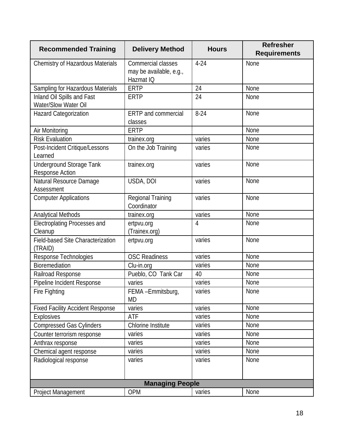| <b>Recommended Training</b>                        | <b>Delivery Method</b>                                     | <b>Hours</b> | <b>Refresher</b><br><b>Requirements</b> |
|----------------------------------------------------|------------------------------------------------------------|--------------|-----------------------------------------|
| Chemistry of Hazardous Materials                   | Commercial classes<br>may be available, e.g.,<br>Hazmat IQ | $4-24$       | None                                    |
| Sampling for Hazardous Materials                   | <b>ERTP</b>                                                | 24           | None                                    |
| Inland Oil Spills and Fast<br>Water/Slow Water Oil | <b>ERTP</b>                                                | 24           | None                                    |
| Hazard Categorization                              | <b>ERTP</b> and commercial<br>classes                      | $8-24$       | None                                    |
| Air Monitoring                                     | <b>ERTP</b>                                                |              | None                                    |
| <b>Risk Evaluation</b>                             | trainex.org                                                | varies       | None                                    |
| Post-Incident Critique/Lessons<br>Learned          | On the Job Training                                        | varies       | None                                    |
| <b>Underground Storage Tank</b><br>Response Action | trainex.org                                                | varies       | None                                    |
| Natural Resource Damage<br>Assessment              | USDA, DOI                                                  | varies       | None                                    |
| <b>Computer Applications</b>                       | Regional Training<br>Coordinator                           | varies       | None                                    |
| <b>Analytical Methods</b>                          | trainex.org                                                | varies       | None                                    |
| <b>Electroplating Processes and</b><br>Cleanup     | ertpvu.org<br>(Trainex.org)                                | 4            | None                                    |
| Field-based Site Characterization<br>(TRAID)       | ertpvu.org                                                 | varies       | None                                    |
| Response Technologies                              | <b>OSC Readiness</b>                                       | varies       | None                                    |
| Bioremediation                                     | Clu-in.org                                                 | varies       | None                                    |
| Railroad Response                                  | Pueblo, CO Tank Car                                        | 40           | None                                    |
| Pipeline Incident Response                         | varies                                                     | varies       | None                                    |
| Fire Fighting                                      | FEMA-Emmitsburg,<br>MD                                     | varies       | None                                    |
| <b>Fixed Facility Accident Response</b>            | varies                                                     | varies       | None                                    |
| <b>Explosives</b>                                  | ATF                                                        | varies       | None                                    |
| <b>Compressed Gas Cylinders</b>                    | Chlorine Institute                                         | varies       | None                                    |
| Counter terrorism response                         | varies                                                     | varies       | None                                    |
| Anthrax response                                   | varies                                                     | varies       | None                                    |
| Chemical agent response                            | varies                                                     | varies       | None                                    |
| Radiological response                              | varies                                                     | varies       | None                                    |
| <b>Managing People</b>                             |                                                            |              |                                         |
| Project Management                                 | <b>OPM</b>                                                 | varies       | None                                    |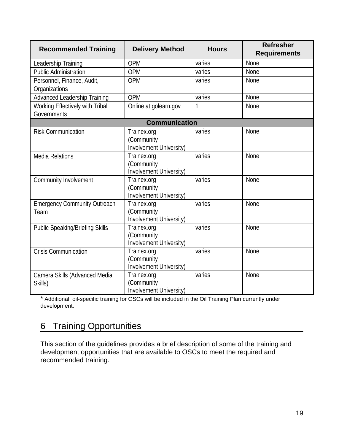| <b>Recommended Training</b>                    | <b>Delivery Method</b>                               | <b>Hours</b> | <b>Refresher</b><br><b>Requirements</b> |
|------------------------------------------------|------------------------------------------------------|--------------|-----------------------------------------|
| Leadership Training                            | <b>OPM</b>                                           | varies       | <b>None</b>                             |
| <b>Public Administration</b>                   | <b>OPM</b>                                           | varies       | None                                    |
| Personnel, Finance, Audit,<br>Organizations    | <b>OPM</b>                                           | varies       | None                                    |
| <b>Advanced Leadership Training</b>            | OPM                                                  | varies       | None                                    |
| Working Effectively with Tribal<br>Governments | Online at golearn.gov                                | 1            | None                                    |
|                                                | <b>Communication</b>                                 |              |                                         |
| <b>Risk Communication</b>                      | Trainex.org<br>(Community<br>Involvement University) | varies       | None                                    |
| <b>Media Relations</b>                         | Trainex.org<br>(Community<br>Involvement University) | varies       | None                                    |
| Community Involvement                          | Trainex.org<br>(Community<br>Involvement University) | varies       | None                                    |
| <b>Emergency Community Outreach</b><br>Team    | Trainex.org<br>(Community<br>Involvement University) | varies       | <b>None</b>                             |
| <b>Public Speaking/Briefing Skills</b>         | Trainex.org<br>(Community<br>Involvement University) | varies       | None                                    |
| <b>Crisis Communication</b>                    | Trainex.org<br>(Community<br>Involvement University) | varies       | None                                    |
| Camera Skills (Advanced Media<br>Skills)       | Trainex.org<br>(Community<br>Involvement University) | varies       | None                                    |

\* Additional, oil-specific training for OSCs will be included in the Oil Training Plan currently under development.

## 6 Training Opportunities

This section of the guidelines provides a brief description of some of the training and development opportunities that are available to OSCs to meet the required and recommended training.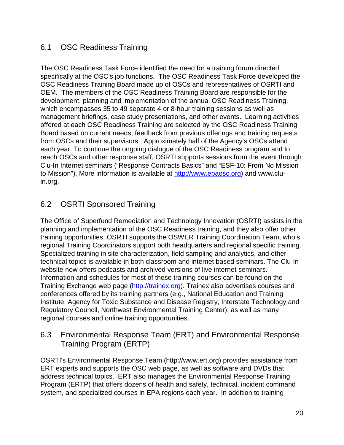## 6.1 OSC Readiness Training

The OSC Readiness Task Force identified the need for a training forum directed specifically at the OSC's job functions. The OSC Readiness Task Force developed the OSC Readiness Training Board made up of OSCs and representatives of OSRTI and OEM. The members of the OSC Readiness Training Board are responsible for the development, planning and implementation of the annual OSC Readiness Training, which encompasses 35 to 49 separate 4 or 8-hour training sessions as well as management briefings, case study presentations, and other events. Learning activities offered at each OSC Readiness Training are selected by the OSC Readiness Training Board based on current needs, feedback from previous offerings and training requests from OSCs and their supervisors. Approximately half of the Agency's OSCs attend each year. To continue the ongoing dialogue of the OSC Readiness program and to reach OSCs and other response staff, OSRTI supports sessions from the event through Clu-In Internet seminars ("Response Contracts Basics" and "ESF-10: From No Mission to Mission"). More information is available at [http://www.epaosc.org\)](http://www.epaosc.org/) and www.cluin.org.

## 6.2 OSRTI Sponsored Training

The Office of Superfund Remediation and Technology Innovation (OSRTI) assists in the planning and implementation of the OSC Readiness training, and they also offer other training opportunities. OSRTI supports the OSWER Training Coordination Team, who's regional Training Coordinators support both headquarters and regional specific training. Specialized training in site characterization, field sampling and analytics, and other technical topics is available in both classroom and internet based seminars. The Clu-In website now offers podcasts and archived versions of live internet seminars. Information and schedules for most of these training courses can be found on the Training Exchange web page [\(http://trainex.org\)](http://trainex.org/). Trainex also advertises courses and conferences offered by its training partners (e.g., National Education and Training Institute, Agency for Toxic Substance and Disease Registry, Interstate Technology and Regulatory Council, Northwest Environmental Training Center), as well as many regional courses and online training opportunities.

### 6.3 Environmental Response Team (ERT) and Environmental Response Training Program (ERTP)

OSRTI's Environmental Response Team (http://www.ert.org) provides assistance from ERT experts and supports the OSC web page, as well as software and DVDs that address technical topics. ERT also manages the Environmental Response Training Program (ERTP) that offers dozens of health and safety, technical, incident command system, and specialized courses in EPA regions each year. In addition to training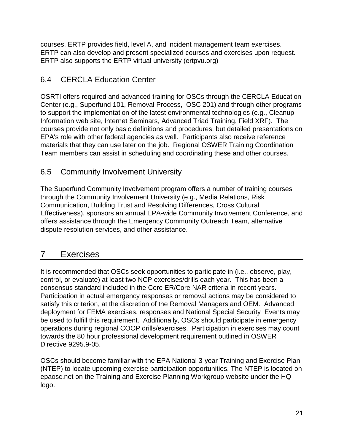courses, ERTP provides field, level A, and incident management team exercises. ERTP can also develop and present specialized courses and exercises upon request. ERTP also supports the ERTP virtual university (ertpvu.org)

## 6.4 CERCLA Education Center

OSRTI offers required and advanced training for OSCs through the CERCLA Education Center (e.g., Superfund 101, Removal Process, OSC 201) and through other programs to support the implementation of the latest environmental technologies (e.g., Cleanup Information web site, Internet Seminars, Advanced Triad Training, Field XRF). The courses provide not only basic definitions and procedures, but detailed presentations on EPA's role with other federal agencies as well. Participants also receive reference materials that they can use later on the job. Regional OSWER Training Coordination Team members can assist in scheduling and coordinating these and other courses.

## 6.5 Community Involvement University

The Superfund Community Involvement program offers a number of training courses through the Community Involvement University (e.g., Media Relations, Risk Communication, Building Trust and Resolving Differences, Cross Cultural Effectiveness), sponsors an annual EPA-wide Community Involvement Conference, and offers assistance through the Emergency Community Outreach Team, alternative dispute resolution services, and other assistance.

## 7 Exercises

It is recommended that OSCs seek opportunities to participate in (i.e., observe, play, control, or evaluate) at least two NCP exercises/drills each year. This has been a consensus standard included in the Core ER/Core NAR criteria in recent years. Participation in actual emergency responses or removal actions may be considered to satisfy this criterion, at the discretion of the Removal Managers and OEM.Advanced deployment for FEMA exercises, responses and National Special Security Events may be used to fulfill this requirement. Additionally, OSCs should participate in emergency operations during regional COOP drills/exercises. Participation in exercises may count towards the 80 hour professional development requirement outlined in OSWER Directive 9295.9-05.

OSCs should become familiar with the EPA National 3-year Training and Exercise Plan (NTEP) to locate upcoming exercise participation opportunities. The NTEP is located on epaosc.net on the Training and Exercise Planning Workgroup website under the HQ logo.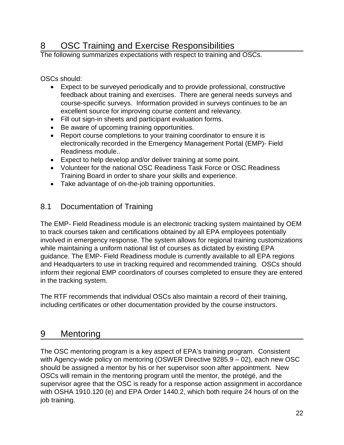# 8 OSC Training and Exercise Responsibilities<br>The following summarizes expectations with respect to training and OSCs.

OSCs should:

- Expect to be surveyed periodically and to provide professional, constructive feedback about training and exercises. There are general needs surveys and course-specific surveys. Information provided in surveys continues to be an excellent source for improving course content and relevancy.
- Fill out sign-in sheets and participant evaluation forms.
- Be aware of upcoming training opportunities.
- Report course completions to your training coordinator to ensure it is electronically recorded in the Emergency Management Portal (EMP)- Field Readiness module..
- Expect to help develop and/or deliver training at some point.
- Volunteer for the national OSC Readiness Task Force or OSC Readiness Training Board in order to share your skills and experience.
- Take advantage of on-the-job training opportunities.

## 8.1 Documentation of Training

The EMP- Field Readiness module is an electronic tracking system maintained by OEM to track courses taken and certifications obtained by all EPA employees potentially involved in emergency response. The system allows for regional training customizations while maintaining a uniform national list of courses as dictated by existing EPA guidance. The EMP- Field Readiness module is currently available to all EPA regions and Headquarters to use in tracking required and recommended training. OSCs should inform their regional EMP coordinators of courses completed to ensure they are entered in the tracking system.

The RTF recommends that individual OSCs also maintain a record of their training, including certificates or other documentation provided by the course instructors.

## 9 Mentoring

The OSC mentoring program is a key aspect of EPA's training program. Consistent with Agency-wide policy on mentoring (OSWER Directive 9285.9 – 02), each new OSC should be assigned a mentor by his or her supervisor soon after appointment. New OSCs will remain in the mentoring program until the mentor, the protégé, and the supervisor agree that the OSC is ready for a response action assignment in accordance with OSHA 1910.120 (e) and EPA Order 1440.2, which both require 24 hours of on the job training.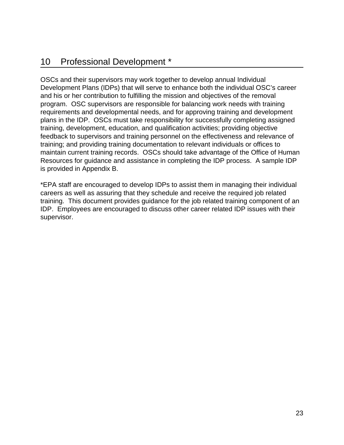## 10 Professional Development \*

OSCs and their supervisors may work together to develop annual Individual Development Plans (IDPs) that will serve to enhance both the individual OSC's career and his or her contribution to fulfilling the mission and objectives of the removal program. OSC supervisors are responsible for balancing work needs with training requirements and developmental needs, and for approving training and development plans in the IDP. OSCs must take responsibility for successfully completing assigned training, development, education, and qualification activities; providing objective feedback to supervisors and training personnel on the effectiveness and relevance of training; and providing training documentation to relevant individuals or offices to maintain current training records. OSCs should take advantage of the Office of Human Resources for guidance and assistance in completing the IDP process. A sample IDP is provided in Appendix B.

\*EPA staff are encouraged to develop IDPs to assist them in managing their individual careers as well as assuring that they schedule and receive the required job related training. This document provides guidance for the job related training component of an IDP. Employees are encouraged to discuss other career related IDP issues with their supervisor.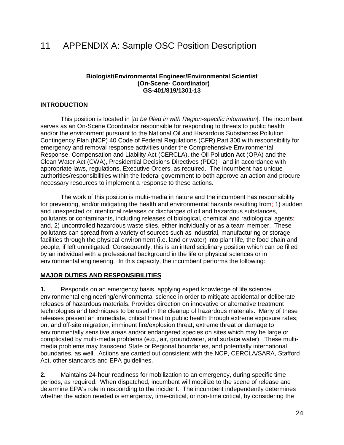## 11 APPENDIX A: Sample OSC Position Description

#### **Biologist/Environmental Engineer/Environmental Scientist (On-Scene- Coordinator) GS-401/819/1301-13**

### **INTRODUCTION**

This position is located in [*to be filled in with Region-specific information*]. The incumbent serves as an On-Scene Coordinator responsible for responding to threats to public health and/or the environment pursuant to the National Oil and Hazardous Substances Pollution Contingency Plan (NCP) 40 Code of Federal Regulations (CFR) Part 300 with responsibility for emergency and removal response activities under the Comprehensive Environmental Response, Compensation and Liability Act (CERCLA), the Oil Pollution Act (OPA) and the Clean Water Act (CWA), Presidential Decisions Directives (PDD) and in accordance with appropriate laws, regulations, Executive Orders, as required. The incumbent has unique authorities/responsibilities within the federal government to both approve an action and procure necessary resources to implement a response to these actions.

The work of this position is multi-media in nature and the incumbent has responsibility for preventing, and/or mitigating the health and environmental hazards resulting from; 1) sudden and unexpected or intentional releases or discharges of oil and hazardous substances, pollutants or contaminants, including releases of biological, chemical and radiological agents; and, 2) uncontrolled hazardous waste sites, either individually or as a team member. These pollutants can spread from a variety of sources such as industrial, manufacturing or storage facilities through the physical environment (i.e. land or water) into plant life, the food chain and people, if left unmitigated. Consequently, this is an interdisciplinary position which can be filled by an individual with a professional background in the life or physical sciences or in environmental engineering. In this capacity, the incumbent performs the following:

### **MAJOR DUTIES AND RESPONSIBILITIES**

**1.** Responds on an emergency basis, applying expert knowledge of life science/ environmental engineering/environmental science in order to mitigate accidental or deliberate releases of hazardous materials. Provides direction on innovative or alternative treatment technologies and techniques to be used in the cleanup of hazardous materials. Many of these releases present an immediate, critical threat to public health through extreme exposure rates; on, and off-site migration; imminent fire/explosion threat; extreme threat or damage to environmentally sensitive areas and/or endangered species on sites which may be large or complicated by multi-media problems (e.g., air, groundwater, and surface water). These multimedia problems may transcend State or Regional boundaries, and potentially international boundaries, as well. Actions are carried out consistent with the NCP, CERCLA/SARA, Stafford Act, other standards and EPA guidelines.

**2.** Maintains 24-hour readiness for mobilization to an emergency, during specific time periods, as required. When dispatched, incumbent will mobilize to the scene of release and determine EPA's role in responding to the incident. The incumbent independently determines whether the action needed is emergency, time-critical, or non-time critical, by considering the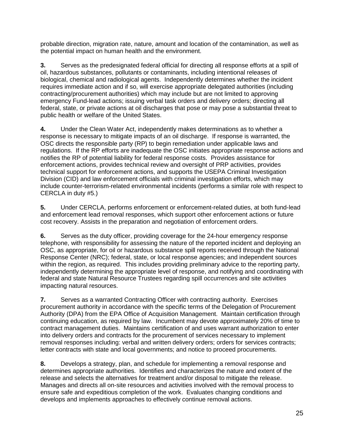probable direction, migration rate, nature, amount and location of the contamination, as well as the potential impact on human health and the environment.

**3.** Serves as the predesignated federal official for directing all response efforts at a spill of oil, hazardous substances, pollutants or contaminants, including intentional releases of biological, chemical and radiological agents. Independently determines whether the incident requires immediate action and if so, will exercise appropriate delegated authorities (including contracting/procurement authorities) which may include but are not limited to approving emergency Fund-lead actions; issuing verbal task orders and delivery orders; directing all federal, state, or private actions at oil discharges that pose or may pose a substantial threat to public health or welfare of the United States.

**4.** Under the Clean Water Act, independently makes determinations as to whether a response is necessary to mitigate impacts of an oil discharge. If response is warranted, the OSC directs the responsible party (RP) to begin remediation under applicable laws and regulations. If the RP efforts are inadequate the OSC initiates appropriate response actions and notifies the RP of potential liability for federal response costs. Provides assistance for enforcement actions, provides technical review and oversight of PRP activities, provides technical support for enforcement actions, and supports the USEPA Criminal Investigation Division (CID) and law enforcement officials with criminal investigation efforts, which may include counter-terrorism-related environmental incidents (performs a similar role with respect to CERCLA in duty #5.)

**5.** Under CERCLA, performs enforcement or enforcement-related duties, at both fund-lead and enforcement lead removal responses, which support other enforcement actions or future cost recovery. Assists in the preparation and negotiation of enforcement orders.

**6.** Serves as the duty officer, providing coverage for the 24-hour emergency response telephone, with responsibility for assessing the nature of the reported incident and deploying an OSC, as appropriate, for oil or hazardous substance spill reports received through the National Response Center (NRC); federal, state, or local response agencies; and independent sources within the region, as required. This includes providing preliminary advice to the reporting party, independently determining the appropriate level of response, and notifying and coordinating with federal and state Natural Resource Trustees regarding spill occurrences and site activities impacting natural resources.

**7.** Serves as a warranted Contracting Officer with contracting authority. Exercises procurement authority in accordance with the specific terms of the Delegation of Procurement Authority (DPA) from the EPA Office of Acquisition Management. Maintain certification through continuing education, as required by law. Incumbent may devote approximately 20% of time to contract management duties. Maintains certification of and uses warrant authorization to enter into delivery orders and contracts for the procurement of services necessary to implement removal responses including: verbal and written delivery orders; orders for services contracts; letter contracts with state and local governments; and notice to proceed procurements.

**8.** Develops a strategy, plan, and schedule for implementing a removal response and determines appropriate authorities. Identifies and characterizes the nature and extent of the release and selects the alternatives for treatment and/or disposal to mitigate the release. Manages and directs all on-site resources and activities involved with the removal process to ensure safe and expeditious completion of the work. Evaluates changing conditions and develops and implements approaches to effectively continue removal actions.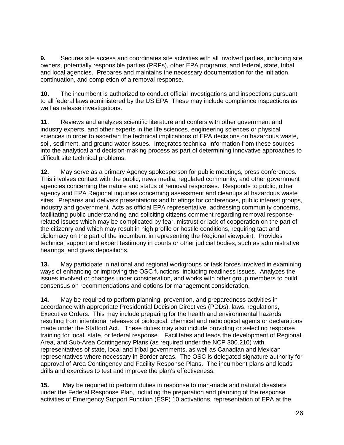**9.** Secures site access and coordinates site activities with all involved parties, including site owners, potentially responsible parties (PRPs), other EPA programs, and federal, state, tribal and local agencies. Prepares and maintains the necessary documentation for the initiation, continuation, and completion of a removal response.

**10.** The incumbent is authorized to conduct official investigations and inspections pursuant to all federal laws administered by the US EPA. These may include compliance inspections as well as release investigations.

**11**. Reviews and analyzes scientific literature and confers with other government and industry experts, and other experts in the life sciences, engineering sciences or physical sciences in order to ascertain the technical implications of EPA decisions on hazardous waste, soil, sediment, and ground water issues. Integrates technical information from these sources into the analytical and decision-making process as part of determining innovative approaches to difficult site technical problems.

**12.** May serve as a primary Agency spokesperson for public meetings, press conferences. This involves contact with the public, news media, regulated community, and other government agencies concerning the nature and status of removal responses. Responds to public, other agency and EPA Regional inquiries concerning assessment and cleanups at hazardous waste sites. Prepares and delivers presentations and briefings for conferences, public interest groups, industry and government. Acts as official EPA representative, addressing community concerns, facilitating public understanding and soliciting citizens comment regarding removal responserelated issues which may be complicated by fear, mistrust or lack of cooperation on the part of the citizenry and which may result in high profile or hostile conditions, requiring tact and diplomacy on the part of the incumbent in representing the Regional viewpoint. Provides technical support and expert testimony in courts or other judicial bodies, such as administrative hearings, and gives depositions.

**13.** May participate in national and regional workgroups or task forces involved in examining ways of enhancing or improving the OSC functions, including readiness issues. Analyzes the issues involved or changes under consideration, and works with other group members to build consensus on recommendations and options for management consideration.

**14.** May be required to perform planning, prevention, and preparedness activities in accordance with appropriate Presidential Decision Directives (PDDs), laws, regulations, Executive Orders. This may include preparing for the health and environmental hazards resulting from intentional releases of biological, chemical and radiological agents or declarations made under the Stafford Act. These duties may also include providing or selecting response training for local, state, or federal response. Facilitates and leads the development of Regional, Area, and Sub-Area Contingency Plans (as required under the NCP 300.210) with representatives of state, local and tribal governments, as well as Canadian and Mexican representatives where necessary in Border areas. The OSC is delegated signature authority for approval of Area Contingency and Facility Response Plans. The incumbent plans and leads drills and exercises to test and improve the plan's effectiveness.

**15.** May be required to perform duties in response to man-made and natural disasters under the Federal Response Plan, including the preparation and planning of the response activities of Emergency Support Function (ESF) 10 activations, representation of EPA at the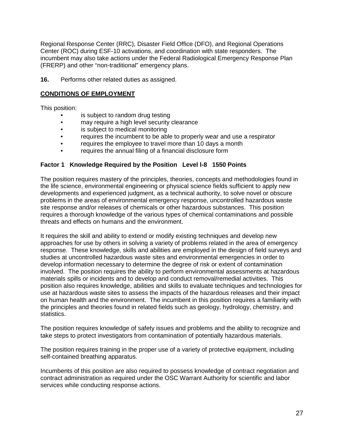Regional Response Center (RRC), Disaster Field Office (DFO), and Regional Operations Center (ROC) during ESF-10 activations, and coordination with state responders. The incumbent may also take actions under the Federal Radiological Emergency Response Plan (FRERP) and other "non-traditional" emergency plans.

**16.** Performs other related duties as assigned.

### **CONDITIONS OF EMPLOYMENT**

This position:

- is subject to random drug testing
- may require a high level security clearance
- is subject to medical monitoring
- requires the incumbent to be able to properly wear and use a respirator
- requires the employee to travel more than 10 days a month
- requires the annual filing of a financial disclosure form

#### **Factor 1 Knowledge Required by the Position Level l-8 1550 Points**

The position requires mastery of the principles, theories, concepts and methodologies found in the life science, environmental engineering or physical science fields sufficient to apply new developments and experienced judgment, as a technical authority, to solve novel or obscure problems in the areas of environmental emergency response, uncontrolled hazardous waste site response and/or releases of chemicals or other hazardous substances. This position requires a thorough knowledge of the various types of chemical contaminations and possible threats and effects on humans and the environment.

It requires the skill and ability to extend or modify existing techniques and develop new approaches for use by others in solving a variety of problems related in the area of emergency response. These knowledge, skills and abilities are employed in the design of field surveys and studies at uncontrolled hazardous waste sites and environmental emergencies in order to develop information necessary to determine the degree of risk or extent of contamination involved. The position requires the ability to perform environmental assessments at hazardous materials spills or incidents and to develop and conduct removal/remedial activities. This position also requires knowledge, abilities and skills to evaluate techniques and technologies for use at hazardous waste sites to assess the impacts of the hazardous releases and their impact on human health and the environment. The incumbent in this position requires a familiarity with the principles and theories found in related fields such as geology, hydrology, chemistry, and statistics.

The position requires knowledge of safety issues and problems and the ability to recognize and take steps to protect investigators from contamination of potentially hazardous materials.

The position requires training in the proper use of a variety of protective equipment, including self-contained breathing apparatus.

Incumbents of this position are also required to possess knowledge of contract negotiation and contract administration as required under the OSC Warrant Authority for scientific and labor services while conducting response actions.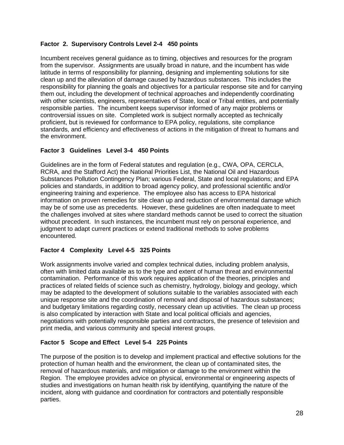### **Factor 2. Supervisory Controls Level 2-4 450 points**

Incumbent receives general guidance as to timing, objectives and resources for the program from the supervisor. Assignments are usually broad in nature, and the incumbent has wide latitude in terms of responsibility for planning, designing and implementing solutions for site clean up and the alleviation of damage caused by hazardous substances. This includes the responsibility for planning the goals and objectives for a particular response site and for carrying them out, including the development of technical approaches and independently coordinating with other scientists, engineers, representatives of State, local or Tribal entities, and potentially responsible parties. The incumbent keeps supervisor informed of any major problems or controversial issues on site. Completed work is subject normally accepted as technically proficient, but is reviewed for conformance to EPA policy, regulations, site compliance standards, and efficiency and effectiveness of actions in the mitigation of threat to humans and the environment.

### **Factor 3 Guidelines Level 3-4 450 Points**

Guidelines are in the form of Federal statutes and regulation (e.g., CWA, OPA, CERCLA, RCRA, and the Stafford Act) the National Priorities List, the National Oil and Hazardous Substances Pollution Contingency Plan; various Federal, State and local regulations; and EPA policies and standards, in addition to broad agency policy, and professional scientific and/or engineering training and experience. The employee also has access to EPA historical information on proven remedies for site clean up and reduction of environmental damage which may be of some use as precedents. However, these guidelines are often inadequate to meet the challenges involved at sites where standard methods cannot be used to correct the situation without precedent. In such instances, the incumbent must rely on personal experience, and judgment to adapt current practices or extend traditional methods to solve problems encountered.

### **Factor 4 Complexity Level 4-5 325 Points**

Work assignments involve varied and complex technical duties, including problem analysis, often with limited data available as to the type and extent of human threat and environmental contamination. Performance of this work requires application of the theories, principles and practices of related fields of science such as chemistry, hydrology, biology and geology, which may be adapted to the development of solutions suitable to the variables associated with each unique response site and the coordination of removal and disposal of hazardous substances; and budgetary limitations regarding costly, necessary clean up activities. The clean up process is also complicated by interaction with State and local political officials and agencies, negotiations with potentially responsible parties and contractors, the presence of television and print media, and various community and special interest groups.

### **Factor 5 Scope and Effect Level 5-4 225 Points**

The purpose of the position is to develop and implement practical and effective solutions for the protection of human health and the environment, the clean up of contaminated sites, the removal of hazardous materials, and mitigation or damage to the environment within the Region. The employee provides advice on physical, environmental or engineering aspects of studies and investigations on human health risk by identifying, quantifying the nature of the incident, along with guidance and coordination for contractors and potentially responsible parties.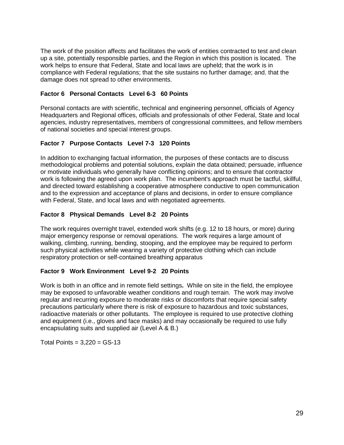The work of the position affects and facilitates the work of entities contracted to test and clean up a site, potentially responsible parties, and the Region in which this position is located. The work helps to ensure that Federal, State and local laws are upheld; that the work is in compliance with Federal regulations; that the site sustains no further damage; and, that the damage does not spread to other environments.

### **Factor 6 Personal Contacts Level 6-3 60 Points**

Personal contacts are with scientific, technical and engineering personnel, officials of Agency Headquarters and Regional offices, officials and professionals of other Federal, State and local agencies, industry representatives, members of congressional committees, and fellow members of national societies and special interest groups.

### **Factor 7 Purpose Contacts Level 7-3 120 Points**

In addition to exchanging factual information, the purposes of these contacts are to discuss methodological problems and potential solutions, explain the data obtained; persuade, influence or motivate individuals who generally have conflicting opinions; and to ensure that contractor work is following the agreed upon work plan. The incumbent's approach must be tactful, skillful, and directed toward establishing a cooperative atmosphere conductive to open communication and to the expression and acceptance of plans and decisions, in order to ensure compliance with Federal, State, and local laws and with negotiated agreements.

### **Factor 8 Physical Demands Level 8-2 20 Points**

The work requires overnight travel, extended work shifts (e.g. 12 to 18 hours, or more) during major emergency response or removal operations. The work requires a large amount of walking, climbing, running, bending, stooping, and the employee may be required to perform such physical activities while wearing a variety of protective clothing which can include respiratory protection or self-contained breathing apparatus

### **Factor 9 Work Environment Level 9-2 20 Points**

Work is both in an office and in remote field settings**.** While on site in the field, the employee may be exposed to unfavorable weather conditions and rough terrain. The work may involve regular and recurring exposure to moderate risks or discomforts that require special safety precautions particularly where there is risk of exposure to hazardous and toxic substances, radioactive materials or other pollutants. The employee is required to use protective clothing and equipment (i.e., gloves and face masks) and may occasionally be required to use fully encapsulating suits and supplied air (Level A & B.)

Total Points =  $3,220 = GS-13$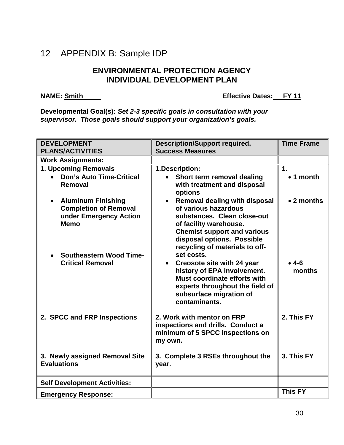## 12 APPENDIX B: Sample IDP

### **ENVIRONMENTAL PROTECTION AGENCY INDIVIDUAL DEVELOPMENT PLAN**

### **NAME:** Smith

**Effective Dates: FY 11** 

**Developmental Goal(s):** *Set 2-3 specific goals in consultation with your supervisor. Those goals should support your organization's goals.*

| <b>DEVELOPMENT</b>                                                                                              | <b>Description/Support required,</b>                                                                                                                                                                                 | <b>Time Frame</b> |
|-----------------------------------------------------------------------------------------------------------------|----------------------------------------------------------------------------------------------------------------------------------------------------------------------------------------------------------------------|-------------------|
| <b>PLANS/ACTIVITIES</b>                                                                                         | <b>Success Measures</b>                                                                                                                                                                                              |                   |
| <b>Work Assignments:</b>                                                                                        |                                                                                                                                                                                                                      |                   |
| 1. Upcoming Removals                                                                                            | 1.Description:                                                                                                                                                                                                       | $\mathbf 1$ .     |
| <b>Don's Auto Time-Critical</b><br>Removal                                                                      | Short term removal dealing<br>with treatment and disposal<br>options                                                                                                                                                 | $\bullet$ 1 month |
| <b>Aluminum Finishing</b><br>$\bullet$<br><b>Completion of Removal</b><br>under Emergency Action<br><b>Memo</b> | Removal dealing with disposal<br>of various hazardous<br>substances. Clean close-out<br>of facility warehouse.<br><b>Chemist support and various</b><br>disposal options. Possible<br>recycling of materials to off- | • 2 months        |
| <b>Southeastern Wood Time-</b><br><b>Critical Removal</b>                                                       | set costs.<br>• Creosote site with 24 year<br>history of EPA involvement.<br>Must coordinate efforts with<br>experts throughout the field of<br>subsurface migration of<br>contaminants.                             | $• 4-6$<br>months |
| 2. SPCC and FRP Inspections                                                                                     | 2. Work with mentor on FRP<br>inspections and drills. Conduct a<br>minimum of 5 SPCC inspections on<br>my own.                                                                                                       | 2. This FY        |
| 3. Newly assigned Removal Site<br><b>Evaluations</b>                                                            | 3. Complete 3 RSEs throughout the<br>year.                                                                                                                                                                           | 3. This FY        |
| <b>Self Development Activities:</b>                                                                             |                                                                                                                                                                                                                      |                   |
| <b>Emergency Response:</b>                                                                                      |                                                                                                                                                                                                                      | <b>This FY</b>    |